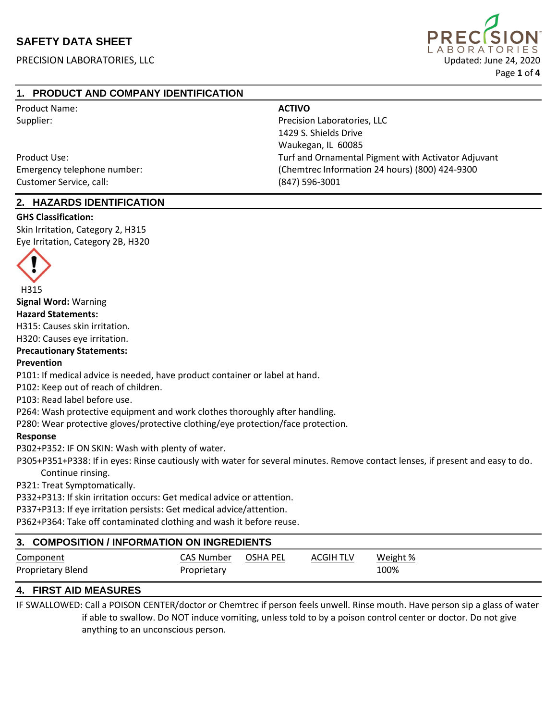PRECISION LABORATORIES, LLC Updated: June 24, 2020



## **1. PRODUCT AND COMPANY IDENTIFICATION**

| Product Name:               | <b>ACTIVO</b>                                       |
|-----------------------------|-----------------------------------------------------|
| Supplier:                   | Precision Laboratories, LLC                         |
|                             | 1429 S. Shields Drive                               |
|                             | Waukegan, IL 60085                                  |
| Product Use:                | Turf and Ornamental Pigment with Activator Adjuvant |
| Emergency telephone number: | (Chemtrec Information 24 hours) (800) 424-9300      |
| Customer Service, call:     | (847) 596-3001                                      |

### **2. HAZARDS IDENTIFICATION**

### **GHS Classification:**

Skin Irritation, Category 2, H315 Eye Irritation, Category 2B, H320



**Signal Word:** Warning

**Hazard Statements:**

H315: Causes skin irritation.

H320: Causes eye irritation.

### **Precautionary Statements:**

### **Prevention**

P101: If medical advice is needed, have product container or label at hand.

P102: Keep out of reach of children.

P103: Read label before use.

P264: Wash protective equipment and work clothes thoroughly after handling.

P280: Wear protective gloves/protective clothing/eye protection/face protection.

#### **Response**

P302+P352: IF ON SKIN: Wash with plenty of water.

 P305+P351+P338: If in eyes: Rinse cautiously with water for several minutes. Remove contact lenses, if present and easy to do. Continue rinsing.

P321: Treat Symptomatically.

P332+P313: If skin irritation occurs: Get medical advice or attention.

P337+P313: If eye irritation persists: Get medical advice/attention.

P362+P364: Take off contaminated clothing and wash it before reuse.

| 3. COMPOSITION / INFORMATION ON INGREDIENTS |                           |          |           |                  |
|---------------------------------------------|---------------------------|----------|-----------|------------------|
| Component<br>Proprietary Blend              | CAS Number<br>Proprietary | OSHA PEL | ACGIH TLV | Weight %<br>100% |

## **4. FIRST AID MEASURES**

IF SWALLOWED: Call a POISON CENTER/doctor or Chemtrec if person feels unwell. Rinse mouth. Have person sip a glass of water if able to swallow. Do NOT induce vomiting, unless told to by a poison control center or doctor. Do not give anything to an unconscious person.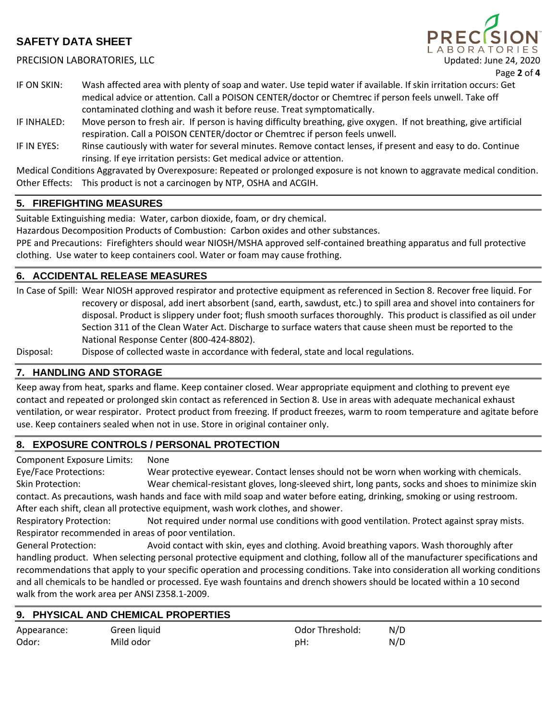PRECISION LABORATORIES, LLC Updated: June 24, 2020



Page **2** of **4**

- IF ON SKIN: Wash affected area with plenty of soap and water. Use tepid water if available. If skin irritation occurs: Get medical advice or attention. Call a POISON CENTER/doctor or Chemtrec if person feels unwell. Take off contaminated clothing and wash it before reuse. Treat symptomatically.
- IF INHALED: Move person to fresh air. If person is having difficulty breathing, give oxygen. If not breathing, give artificial respiration. Call a POISON CENTER/doctor or Chemtrec if person feels unwell.
- IF IN EYES: Rinse cautiously with water for several minutes. Remove contact lenses, if present and easy to do. Continue rinsing. If eye irritation persists: Get medical advice or attention.

Medical Conditions Aggravated by Overexposure: Repeated or prolonged exposure is not known to aggravate medical condition. Other Effects: This product is not a carcinogen by NTP, OSHA and ACGIH.

### **5. FIREFIGHTING MEASURES**

Suitable Extinguishing media: Water, carbon dioxide, foam, or dry chemical.

Hazardous Decomposition Products of Combustion: Carbon oxides and other substances.

PPE and Precautions: Firefighters should wear NIOSH/MSHA approved self-contained breathing apparatus and full protective clothing. Use water to keep containers cool. Water or foam may cause frothing.

### **6. ACCIDENTAL RELEASE MEASURES**

In Case of Spill: Wear NIOSH approved respirator and protective equipment as referenced in Section 8. Recover free liquid. For recovery or disposal, add inert absorbent (sand, earth, sawdust, etc.) to spill area and shovel into containers for disposal. Product is slippery under foot; flush smooth surfaces thoroughly. This product is classified as oil under Section 311 of the Clean Water Act. Discharge to surface waters that cause sheen must be reported to the National Response Center (800-424-8802).

Disposal: Dispose of collected waste in accordance with federal, state and local regulations.

### **7. HANDLING AND STORAGE**

Keep away from heat, sparks and flame. Keep container closed. Wear appropriate equipment and clothing to prevent eye contact and repeated or prolonged skin contact as referenced in Section 8. Use in areas with adequate mechanical exhaust ventilation, or wear respirator. Protect product from freezing. If product freezes, warm to room temperature and agitate before use. Keep containers sealed when not in use. Store in original container only.

### **8. EXPOSURE CONTROLS / PERSONAL PROTECTION**

Component Exposure Limits: None

Odor: Mild odor

Eye/Face Protections: Wear protective eyewear. Contact lenses should not be worn when working with chemicals. Skin Protection: Wear chemical-resistant gloves, long-sleeved shirt, long pants, socks and shoes to minimize skin contact. As precautions, wash hands and face with mild soap and water before eating, drinking, smoking or using restroom. After each shift, clean all protective equipment, wash work clothes, and shower.

Respiratory Protection: Not required under normal use conditions with good ventilation. Protect against spray mists. Respirator recommended in areas of poor ventilation.

General Protection: Avoid contact with skin, eyes and clothing. Avoid breathing vapors. Wash thoroughly after handling product. When selecting personal protective equipment and clothing, follow all of the manufacturer specifications and recommendations that apply to your specific operation and processing conditions. Take into consideration all working conditions and all chemicals to be handled or processed. Eye wash fountains and drench showers should be located within a 10 second walk from the work area per ANSI Z358.1-2009.

#### **9. PHYSICAL AND CHEMICAL PROPERTIES** Appearance: Green liquid Odor Threshold: N/D

pH: N/D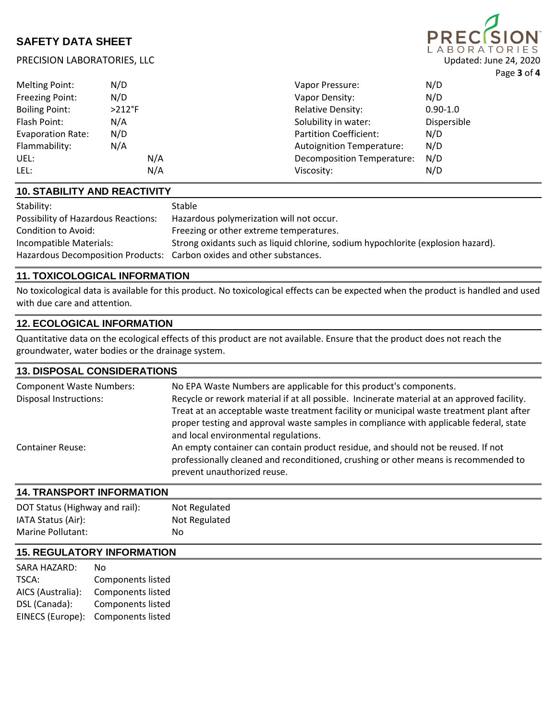PRECISION LABORATORIES, LLC Updated: June 24, 2020

|                          |           |                                   |              | .   ~ ~ ~ ~ ~ ~ ~ ~ ~ ~ ~ ~ ~ |
|--------------------------|-----------|-----------------------------------|--------------|-------------------------------|
| Melting Point:           | N/D       | Vapor Pressure:                   | N/D          |                               |
| Freezing Point:          | N/D       | Vapor Density:                    | N/D          |                               |
| <b>Boiling Point:</b>    | $>212$ °F | <b>Relative Density:</b>          | $0.90 - 1.0$ |                               |
| Flash Point:             | N/A       | Solubility in water:              | Dispersible  |                               |
| <b>Evaporation Rate:</b> | N/D       | <b>Partition Coefficient:</b>     | N/D          |                               |
| Flammability:            | N/A       | <b>Autoignition Temperature:</b>  | N/D          |                               |
| UEL:                     | N/A       | <b>Decomposition Temperature:</b> | N/D          |                               |
| LEL:                     | N/A       | Viscosity:                        | N/D          |                               |
|                          |           |                                   |              |                               |

## **10. STABILITY AND REACTIVITY**

| Stability:                                                            | Stable                                                                           |
|-----------------------------------------------------------------------|----------------------------------------------------------------------------------|
| <b>Possibility of Hazardous Reactions:</b>                            | Hazardous polymerization will not occur.                                         |
| Condition to Avoid:                                                   | Freezing or other extreme temperatures.                                          |
| Incompatible Materials:                                               | Strong oxidants such as liquid chlorine, sodium hypochlorite (explosion hazard). |
| Hazardous Decomposition Products: Carbon oxides and other substances. |                                                                                  |

## **11. TOXICOLOGICAL INFORMATION**

No toxicological data is available for this product. No toxicological effects can be expected when the product is handled and used with due care and attention.

## **12. ECOLOGICAL INFORMATION**

Quantitative data on the ecological effects of this product are not available. Ensure that the product does not reach the groundwater, water bodies or the drainage system.

### **13. DISPOSAL CONSIDERATIONS**

| <b>Component Waste Numbers:</b><br><b>Disposal Instructions:</b> | No EPA Waste Numbers are applicable for this product's components.<br>Recycle or rework material if at all possible. Incinerate material at an approved facility.<br>Treat at an acceptable waste treatment facility or municipal waste treatment plant after<br>proper testing and approval waste samples in compliance with applicable federal, state<br>and local environmental regulations. |
|------------------------------------------------------------------|-------------------------------------------------------------------------------------------------------------------------------------------------------------------------------------------------------------------------------------------------------------------------------------------------------------------------------------------------------------------------------------------------|
| <b>Container Reuse:</b>                                          | An empty container can contain product residue, and should not be reused. If not<br>professionally cleaned and reconditioned, crushing or other means is recommended to<br>prevent unauthorized reuse.                                                                                                                                                                                          |

## **14. TRANSPORT INFORMATION**

| DOT Status (Highway and rail): | Not Regulated |
|--------------------------------|---------------|
| IATA Status (Air):             | Not Regulated |
| Marine Pollutant:              | No.           |
|                                |               |

# **15. REGULATORY INFORMATION**

| No                       |
|--------------------------|
| <b>Components listed</b> |
| <b>Components listed</b> |
| <b>Components listed</b> |
| <b>Components listed</b> |
|                          |